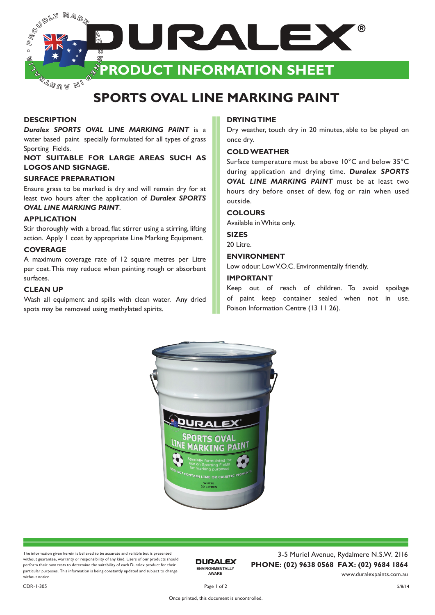

 $\sqrt[d]{\mathscr{B}^{\mathbb{U}/\mathbb{A}}}$  M $_{I}$ 

## **SPORTS OVAL LINE MARKING PAINT**

### **DESCRIPTION**

*Duralex SPORTS OVAL LINE MARKING PAINT* is a water based paint specially formulated for all types of grass Sporting Fields.

**NOT SUITABLE FOR LARGE AREAS SUCH AS LOGOS AND SIGNAGE.**

### **SURFACE PREPARATION**

Ensure grass to be marked is dry and will remain dry for at least two hours after the application of *Duralex SPORTS OVAL LINE MARKING PAINT*.

### **APPLICATION**

Stir thoroughly with a broad, flat stirrer using a stirring, lifting action. Apply 1 coat by appropriate Line Marking Equipment.

### **COVERAGE**

A maximum coverage rate of 12 square metres per Litre per coat. This may reduce when painting rough or absorbent surfaces.

### **CLEAN UP**

Wash all equipment and spills with clean water. Any dried spots may be removed using methylated spirits.

### **DRYING TIME**

Dry weather, touch dry in 20 minutes, able to be played on once dry.

### **COLD WEATHER**

Surface temperature must be above 10°C and below 35°C during application and drying time. *Duralex SPORTS OVAL LINE MARKING PAINT* must be at least two hours dry before onset of dew, fog or rain when used outside.

### **COLOURS**

Available in White only.

### **SIZES**

20 Litre.

### **ENVIRONMENT**

Low odour. Low V.O.C. Environmentally friendly.

### **IMPORTANT**

Keep out of reach of children. To avoid spoilage of paint keep container sealed when not in use. Poison Information Centre (13 11 26).



The information given herein is believed to be accurate and reliable but is presented without guarantee, warranty or responsibility of any kind. Users of our products should perform their own tests to determine the suitability of each Duralex product for their particular purposes. This information is being constantly updated and subject to change without notice

**DURALEX ENVIRONMENTALLY AWARE**

3-5 Muriel Avenue, Rydalmere N.S.W. 2116 **PHONE: (02) 9638 0568 FAX: (02) 9684 1864** www.duralexpaints.com.au